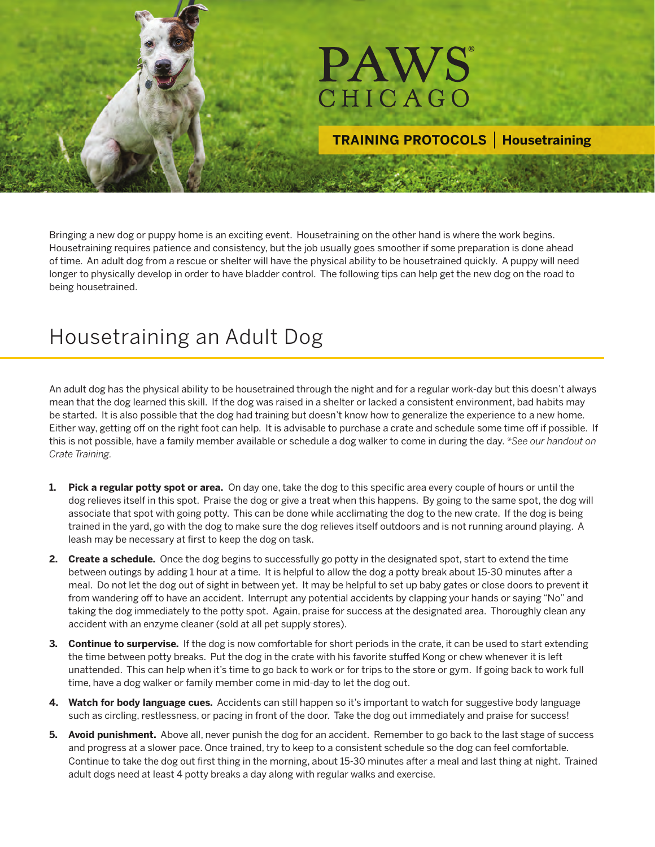

## **TRAINING PROTOCOLS | Housetraining**

Bringing a new dog or puppy home is an exciting event. Housetraining on the other hand is where the work begins. Housetraining requires patience and consistency, but the job usually goes smoother if some preparation is done ahead of time. An adult dog from a rescue or shelter will have the physical ability to be housetrained quickly. A puppy will need longer to physically develop in order to have bladder control. The following tips can help get the new dog on the road to being housetrained.

## Housetraining an Adult Dog

An adult dog has the physical ability to be housetrained through the night and for a regular work-day but this doesn't always mean that the dog learned this skill. If the dog was raised in a shelter or lacked a consistent environment, bad habits may be started. It is also possible that the dog had training but doesn't know how to generalize the experience to a new home. Either way, getting off on the right foot can help. It is advisable to purchase a crate and schedule some time off if possible. If this is not possible, have a family member available or schedule a dog walker to come in during the day. *\*See our handout on Crate Training.*

- **1. Pick a regular potty spot or area.** On day one, take the dog to this specific area every couple of hours or until the dog relieves itself in this spot. Praise the dog or give a treat when this happens. By going to the same spot, the dog will associate that spot with going potty. This can be done while acclimating the dog to the new crate. If the dog is being trained in the yard, go with the dog to make sure the dog relieves itself outdoors and is not running around playing. A leash may be necessary at first to keep the dog on task.
- **2. Create a schedule.** Once the dog begins to successfully go potty in the designated spot, start to extend the time between outings by adding 1 hour at a time. It is helpful to allow the dog a potty break about 15-30 minutes after a meal. Do not let the dog out of sight in between yet. It may be helpful to set up baby gates or close doors to prevent it from wandering off to have an accident. Interrupt any potential accidents by clapping your hands or saying "No" and taking the dog immediately to the potty spot. Again, praise for success at the designated area. Thoroughly clean any accident with an enzyme cleaner (sold at all pet supply stores).
- **3. Continue to surpervise.** If the dog is now comfortable for short periods in the crate, it can be used to start extending the time between potty breaks. Put the dog in the crate with his favorite stuffed Kong or chew whenever it is left unattended. This can help when it's time to go back to work or for trips to the store or gym. If going back to work full time, have a dog walker or family member come in mid-day to let the dog out.
- **4. Watch for body language cues.** Accidents can still happen so it's important to watch for suggestive body language such as circling, restlessness, or pacing in front of the door. Take the dog out immediately and praise for success!
- **5. Avoid punishment.** Above all, never punish the dog for an accident. Remember to go back to the last stage of success and progress at a slower pace. Once trained, try to keep to a consistent schedule so the dog can feel comfortable. Continue to take the dog out first thing in the morning, about 15-30 minutes after a meal and last thing at night. Trained adult dogs need at least 4 potty breaks a day along with regular walks and exercise.